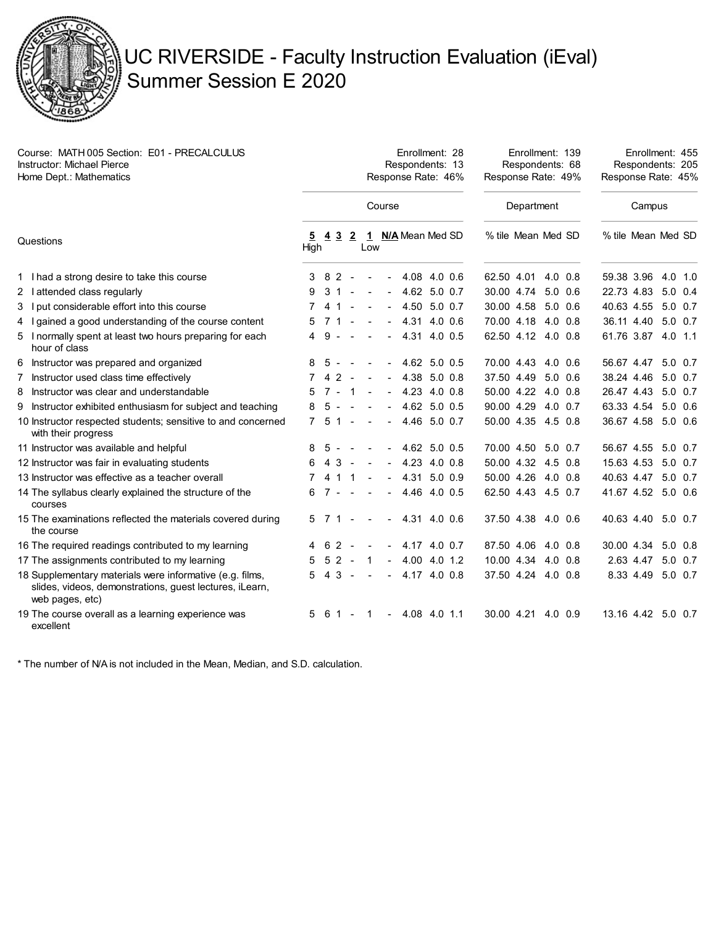

## UC RIVERSIDE - Faculty Instruction Evaluation (iEval) Summer Session E 2020

Enrollment: 28

Enrollment: 139

Enrollment: 455

| Course: MATH 005 Section: E01 - PRECALCULUS |  |
|---------------------------------------------|--|
| <b>Instructor: Michael Pierce</b>           |  |
| Home Dept.: Mathematics                     |  |

| <b>Instructor: Michael Pierce</b><br>Home Dept.: Mathematics                                                                           |        |                | Respondents: 13<br>Response Rate: 46% |                |                  |                |                   |  |  |                    | Respondents: 68<br>Response Rate: 49% |         |  |                    | Respondents: 205<br>Response Rate: 45% |                 |  |  |
|----------------------------------------------------------------------------------------------------------------------------------------|--------|----------------|---------------------------------------|----------------|------------------|----------------|-------------------|--|--|--------------------|---------------------------------------|---------|--|--------------------|----------------------------------------|-----------------|--|--|
| Questions                                                                                                                              | Course |                |                                       |                |                  |                |                   |  |  | Department         |                                       |         |  | Campus             |                                        |                 |  |  |
|                                                                                                                                        | High   | <u>5 4 3 2</u> |                                       |                | Low              |                | 1 N/A Mean Med SD |  |  | % tile Mean Med SD |                                       |         |  | % tile Mean Med SD |                                        |                 |  |  |
| 1 I had a strong desire to take this course                                                                                            |        | 3 8 2          |                                       | $\sim$         |                  |                | $-4.08$ 4.0 0.6   |  |  | 62.50 4.01 4.0 0.8 |                                       |         |  | 59.38 3.96 4.0 1.0 |                                        |                 |  |  |
| 2 lattended class regularly                                                                                                            | 9      | 3 1            |                                       |                | $\sim 10$        |                | $-4.62$ 5.0 0.7   |  |  | 30.00 4.74 5.0 0.6 |                                       |         |  | 22.73 4.83 5.0 0.4 |                                        |                 |  |  |
| 3 I put considerable effort into this course                                                                                           |        | 41             |                                       |                |                  | $\blacksquare$ | 4.50 5.0 0.7      |  |  | 30.00 4.58 5.0 0.6 |                                       |         |  | 40.63 4.55 5.0 0.7 |                                        |                 |  |  |
| 4 I gained a good understanding of the course content                                                                                  | 5      | 71             |                                       | $\sim$         | $\sim$ $-$       |                | $-4.31$ 4.0 0.6   |  |  | 70.00 4.18 4.0 0.8 |                                       |         |  | 36.11 4.40 5.0 0.7 |                                        |                 |  |  |
| 5 I normally spent at least two hours preparing for each<br>hour of class                                                              | 4      |                | $9 - - -$                             |                |                  |                | $-4.31$ 4.0 0.5   |  |  | 62.50 4.12 4.0 0.8 |                                       |         |  | 61.76 3.87 4.0 1.1 |                                        |                 |  |  |
| 6 Instructor was prepared and organized                                                                                                | 8      | 5 -            |                                       |                |                  |                | $-4.62$ 5.0 0.5   |  |  | 70.00 4.43 4.0 0.6 |                                       |         |  | 56.67 4.47 5.0 0.7 |                                        |                 |  |  |
| Instructor used class time effectively<br>7                                                                                            |        | 4 <sub>2</sub> |                                       | $\sim$         | $\sim$ $-$       |                | $-4.38$ 5.0 0.8   |  |  | 37.50 4.49 5.0 0.6 |                                       |         |  | 38.24 4.46 5.0 0.7 |                                        |                 |  |  |
| 8 Instructor was clear and understandable                                                                                              | 5      |                | $7 - 1 -$                             |                |                  |                | $-4.23$ 4.0 0.8   |  |  | 50.00 4.22 4.0 0.8 |                                       |         |  | 26.47 4.43 5.0 0.7 |                                        |                 |  |  |
| 9 Instructor exhibited enthusiasm for subject and teaching                                                                             | 8      | $5 -$          |                                       | $\sim$         | $\sim$ $-$       |                | $-4.62$ 5.0 0.5   |  |  | 90.00 4.29 4.0 0.7 |                                       |         |  | 63.33 4.54 5.0 0.6 |                                        |                 |  |  |
| 10 Instructor respected students; sensitive to and concerned<br>with their progress                                                    |        | $7\;5\;1\;-.$  |                                       |                |                  |                | $-4.46$ 5.0 0.7   |  |  | 50.00 4.35 4.5 0.8 |                                       |         |  | 36.67 4.58 5.0 0.6 |                                        |                 |  |  |
| 11 Instructor was available and helpful                                                                                                | 8      | -5             |                                       |                | $\sim$           |                | $-4.62$ 5.0 0.5   |  |  | 70.00 4.50 5.0 0.7 |                                       |         |  | 56.67 4.55 5.0 0.7 |                                        |                 |  |  |
| 12 Instructor was fair in evaluating students                                                                                          |        |                | 4 3 -                                 |                | $\sim$           |                | $-4.23$ 4.0 0.8   |  |  | 50.00 4.32 4.5 0.8 |                                       |         |  | 15.63 4.53 5.0 0.7 |                                        |                 |  |  |
| 13 Instructor was effective as a teacher overall                                                                                       |        | 41             |                                       | 1              | $\sim$           |                | $-4.31$ 5.0 0.9   |  |  | 50.00 4.26 4.0 0.8 |                                       |         |  | 40.63 4.47 5.0 0.7 |                                        |                 |  |  |
| 14 The syllabus clearly explained the structure of the<br>courses                                                                      | 6.     |                | 7 - - -                               |                |                  |                | $-4.46$ 4.0 0.5   |  |  | 62.50 4.43 4.5 0.7 |                                       |         |  | 41.67 4.52 5.0 0.6 |                                        |                 |  |  |
| 15 The examinations reflected the materials covered during<br>the course                                                               |        | 571-           |                                       |                | $\sim$ $-$       |                | $-4.31$ 4.0 0.6   |  |  | 37.50 4.38 4.0 0.6 |                                       |         |  | 40.63 4.40 5.0 0.7 |                                        |                 |  |  |
| 16 The required readings contributed to my learning                                                                                    |        | 62             |                                       |                |                  |                | $-4.17$ 4.0 0.7   |  |  | 87.50 4.06 4.0 0.8 |                                       |         |  | 30.00 4.34 5.0 0.8 |                                        |                 |  |  |
| 17 The assignments contributed to my learning                                                                                          | 5      |                | $52 -$                                |                | $\overline{1}$   |                | $-4.00$ 4.0 1.2   |  |  | 10.00 4.34 4.0 0.8 |                                       |         |  |                    | 2.63 4.47                              | $5.0 \quad 0.7$ |  |  |
| 18 Supplementary materials were informative (e.g. films,<br>slides, videos, demonstrations, guest lectures, iLearn,<br>web pages, etc) | 5.     |                | 4 3 -                                 |                | $\sim$ 100 $\pm$ |                | $-4.174.00.8$     |  |  | 37.50 4.24 4.0 0.8 |                                       |         |  |                    | 8.33 4.49 5.0 0.7                      |                 |  |  |
| 19 The course overall as a learning experience was<br>excellent                                                                        | 5      | 61             |                                       | $\blacksquare$ | -1               |                | $-4.08$ 4.0 1.1   |  |  | 30.00 4.21         |                                       | 4.0 0.9 |  | 13.16 4.42 5.0 0.7 |                                        |                 |  |  |

\* The number of N/A is not included in the Mean, Median, and S.D. calculation.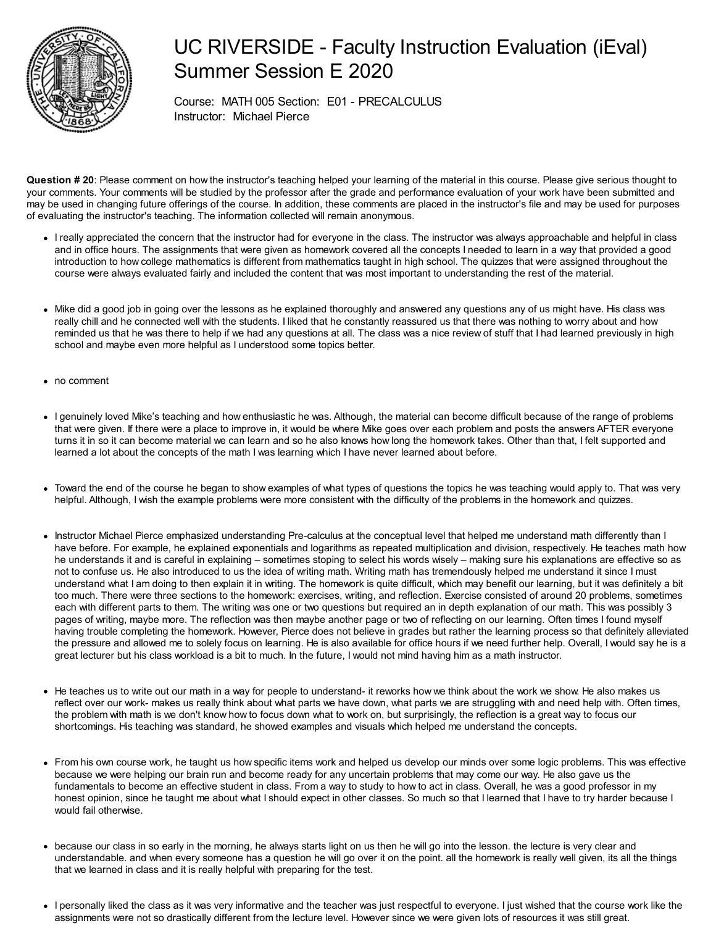

## UC RIVERSIDE - Faculty Instruction Evaluation (iEval) Summer Session E 2020

Course: MATH 005 Section: E01 - PRECALCULUS Instructor: Michael Pierce

**Question # 20**: Please comment on how the instructor's teaching helped your learning of the material in this course. Please give serious thought to your comments. Your comments will be studied by the professor after the grade and performance evaluation of your work have been submitted and may be used in changing future offerings of the course. In addition, these comments are placed in the instructor's file and may be used for purposes of evaluating the instructor's teaching. The information collected will remain anonymous.

- I really appreciated the concern that the instructor had for everyone in the class. The instructor was always approachable and helpful in class and in office hours. The assignments that were given as homework covered all the concepts I needed to learn in a way that provided a good introduction to how college mathematics is different from mathematics taught in high school. The quizzes that were assigned throughout the course were always evaluated fairly and included the content that was most important to understanding the rest of the material.
- Mike did a good job in going over the lessons as he explained thoroughly and answered any questions any of us might have. His class was really chill and he connected well with the students. I liked that he constantly reassured us that there was nothing to worry about and how reminded us that he was there to help if we had any questions at all. The class was a nice review of stuff that I had learned previously in high school and maybe even more helpful as I understood some topics better.
- no comment
- I genuinely loved Mike's teaching and how enthusiastic he was. Although, the material can become difficult because of the range of problems that were given. If there were a place to improve in, it would be where Mike goes over each problem and posts the answers AFTER everyone turns it in so it can become material we can learn and so he also knows how long the homework takes. Other than that, I felt supported and learned a lot about the concepts of the math I was learning which I have never learned about before.
- Toward the end of the course he began to show examples of what types of questions the topics he was teaching would apply to. That was very helpful. Although, I wish the example problems were more consistent with the difficulty of the problems in the homework and quizzes.
- Instructor Michael Pierce emphasized understanding Pre-calculus at the conceptual level that helped me understand math differently than I have before. For example, he explained exponentials and logarithms as repeated multiplication and division, respectively. He teaches math how he understands it and is careful in explaining – sometimes stoping to select his words wisely – making sure his explanations are effective so as not to confuse us. He also introduced to us the idea of writing math. Writing math has tremendously helped me understand it since I must understand what I am doing to then explain it in writing. The homework is quite difficult, which may benefit our learning, but it was definitely a bit too much. There were three sections to the homework: exercises, writing, and reflection. Exercise consisted of around 20 problems, sometimes each with different parts to them. The writing was one or two questions but required an in depth explanation of our math. This was possibly 3 pages of writing, maybe more. The reflection was then maybe another page or two of reflecting on our learning. Often times I found myself having trouble completing the homework. However, Pierce does not believe in grades but rather the learning process so that definitely alleviated the pressure and allowed me to solely focus on learning. He is also available for office hours if we need further help. Overall, I would say he is a great lecturer but his class workload is a bit to much. In the future, I would not mind having him as a math instructor.
- He teaches us to write out our math in a way for people to understand- it reworks how we think about the work we show. He also makes us reflect over our work- makes us really think about what parts we have down, what parts we are struggling with and need help with. Often times, the problem with math is we don't know how to focus down what to work on, but surprisingly, the reflection is a great way to focus our shortcomings. His teaching was standard, he showed examples and visuals which helped me understand the concepts.
- From his own course work, he taught us how specific items work and helped us develop our minds over some logic problems. This was effective because we were helping our brain run and become ready for any uncertain problems that may come our way. He also gave us the fundamentals to become an effective student in class. From a way to study to how to act in class. Overall, he was a good professor in my honest opinion, since he taught me about what I should expect in other classes. So much so that I learned that I have to try harder because I would fail otherwise.
- because our class in so early in the morning, he always starts light on us then he will go into the lesson. the lecture is very clear and understandable. and when every someone has a question he will go over it on the point. all the homework is really well given, its all the things that we learned in class and it is really helpful with preparing for the test.
- I personally liked the class as it was very informative and the teacher was just respectful to everyone. I just wished that the course work like the assignments were not so drastically different from the lecture level. However since we were given lots of resources it was still great.